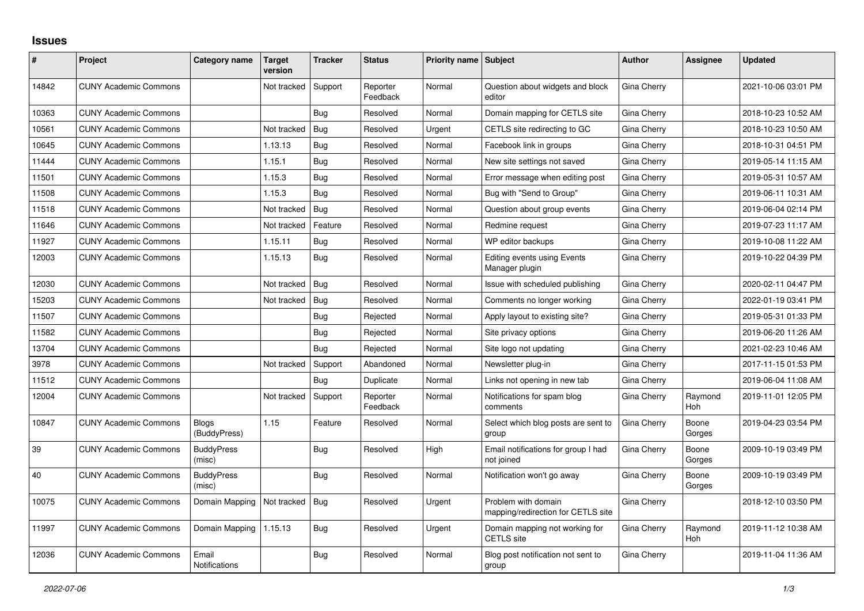## **Issues**

| #     | Project                      | <b>Category name</b>          | Target<br>version | <b>Tracker</b> | <b>Status</b>        | <b>Priority name Subject</b> |                                                           | <b>Author</b> | Assignee              | <b>Updated</b>      |
|-------|------------------------------|-------------------------------|-------------------|----------------|----------------------|------------------------------|-----------------------------------------------------------|---------------|-----------------------|---------------------|
| 14842 | <b>CUNY Academic Commons</b> |                               | Not tracked       | Support        | Reporter<br>Feedback | Normal                       | Question about widgets and block<br>editor                | Gina Cherry   |                       | 2021-10-06 03:01 PM |
| 10363 | <b>CUNY Academic Commons</b> |                               |                   | Bug            | Resolved             | Normal                       | Domain mapping for CETLS site                             | Gina Cherry   |                       | 2018-10-23 10:52 AM |
| 10561 | <b>CUNY Academic Commons</b> |                               | Not tracked       | Bug            | Resolved             | Urgent                       | CETLS site redirecting to GC                              | Gina Cherry   |                       | 2018-10-23 10:50 AM |
| 10645 | <b>CUNY Academic Commons</b> |                               | 1.13.13           | Bug            | Resolved             | Normal                       | Facebook link in groups                                   | Gina Cherry   |                       | 2018-10-31 04:51 PM |
| 11444 | <b>CUNY Academic Commons</b> |                               | 1.15.1            | Bug            | Resolved             | Normal                       | New site settings not saved                               | Gina Cherry   |                       | 2019-05-14 11:15 AM |
| 11501 | <b>CUNY Academic Commons</b> |                               | 1.15.3            | Bug            | Resolved             | Normal                       | Error message when editing post                           | Gina Cherry   |                       | 2019-05-31 10:57 AM |
| 11508 | <b>CUNY Academic Commons</b> |                               | 1.15.3            | Bug            | Resolved             | Normal                       | Bug with "Send to Group"                                  | Gina Cherry   |                       | 2019-06-11 10:31 AM |
| 11518 | <b>CUNY Academic Commons</b> |                               | Not tracked       | Bug            | Resolved             | Normal                       | Question about group events                               | Gina Cherry   |                       | 2019-06-04 02:14 PM |
| 11646 | <b>CUNY Academic Commons</b> |                               | Not tracked       | Feature        | Resolved             | Normal                       | Redmine request                                           | Gina Cherry   |                       | 2019-07-23 11:17 AM |
| 11927 | <b>CUNY Academic Commons</b> |                               | 1.15.11           | Bug            | Resolved             | Normal                       | WP editor backups                                         | Gina Cherry   |                       | 2019-10-08 11:22 AM |
| 12003 | <b>CUNY Academic Commons</b> |                               | 1.15.13           | Bug            | Resolved             | Normal                       | <b>Editing events using Events</b><br>Manager plugin      | Gina Cherry   |                       | 2019-10-22 04:39 PM |
| 12030 | <b>CUNY Academic Commons</b> |                               | Not tracked       | Bug            | Resolved             | Normal                       | Issue with scheduled publishing                           | Gina Cherry   |                       | 2020-02-11 04:47 PM |
| 15203 | <b>CUNY Academic Commons</b> |                               | Not tracked       | Bug            | Resolved             | Normal                       | Comments no longer working                                | Gina Cherry   |                       | 2022-01-19 03:41 PM |
| 11507 | <b>CUNY Academic Commons</b> |                               |                   | Bug            | Rejected             | Normal                       | Apply layout to existing site?                            | Gina Cherry   |                       | 2019-05-31 01:33 PM |
| 11582 | <b>CUNY Academic Commons</b> |                               |                   | Bug            | Rejected             | Normal                       | Site privacy options                                      | Gina Cherry   |                       | 2019-06-20 11:26 AM |
| 13704 | <b>CUNY Academic Commons</b> |                               |                   | Bug            | Rejected             | Normal                       | Site logo not updating                                    | Gina Cherry   |                       | 2021-02-23 10:46 AM |
| 3978  | <b>CUNY Academic Commons</b> |                               | Not tracked       | Support        | Abandoned            | Normal                       | Newsletter plug-in                                        | Gina Cherry   |                       | 2017-11-15 01:53 PM |
| 11512 | <b>CUNY Academic Commons</b> |                               |                   | Bug            | Duplicate            | Normal                       | Links not opening in new tab                              | Gina Cherry   |                       | 2019-06-04 11:08 AM |
| 12004 | <b>CUNY Academic Commons</b> |                               | Not tracked       | Support        | Reporter<br>Feedback | Normal                       | Notifications for spam blog<br>comments                   | Gina Cherry   | Raymond<br><b>Hoh</b> | 2019-11-01 12:05 PM |
| 10847 | <b>CUNY Academic Commons</b> | <b>Blogs</b><br>(BuddyPress)  | 1.15              | Feature        | Resolved             | Normal                       | Select which blog posts are sent to<br>group              | Gina Cherry   | Boone<br>Gorges       | 2019-04-23 03:54 PM |
| 39    | <b>CUNY Academic Commons</b> | <b>BuddyPress</b><br>(misc)   |                   | Bug            | Resolved             | High                         | Email notifications for group I had<br>not joined         | Gina Cherry   | Boone<br>Gorges       | 2009-10-19 03:49 PM |
| 40    | <b>CUNY Academic Commons</b> | <b>BuddyPress</b><br>(misc)   |                   | Bug            | Resolved             | Normal                       | Notification won't go away                                | Gina Cherry   | Boone<br>Gorges       | 2009-10-19 03:49 PM |
| 10075 | <b>CUNY Academic Commons</b> | Domain Mapping                | Not tracked       | Bug            | Resolved             | Urgent                       | Problem with domain<br>mapping/redirection for CETLS site | Gina Cherry   |                       | 2018-12-10 03:50 PM |
| 11997 | <b>CUNY Academic Commons</b> | Domain Mapping                | 1.15.13           | Bug            | Resolved             | Urgent                       | Domain mapping not working for<br><b>CETLS</b> site       | Gina Cherry   | Raymond<br><b>Hoh</b> | 2019-11-12 10:38 AM |
| 12036 | <b>CUNY Academic Commons</b> | Email<br><b>Notifications</b> |                   | Bug            | Resolved             | Normal                       | Blog post notification not sent to<br>group               | Gina Cherry   |                       | 2019-11-04 11:36 AM |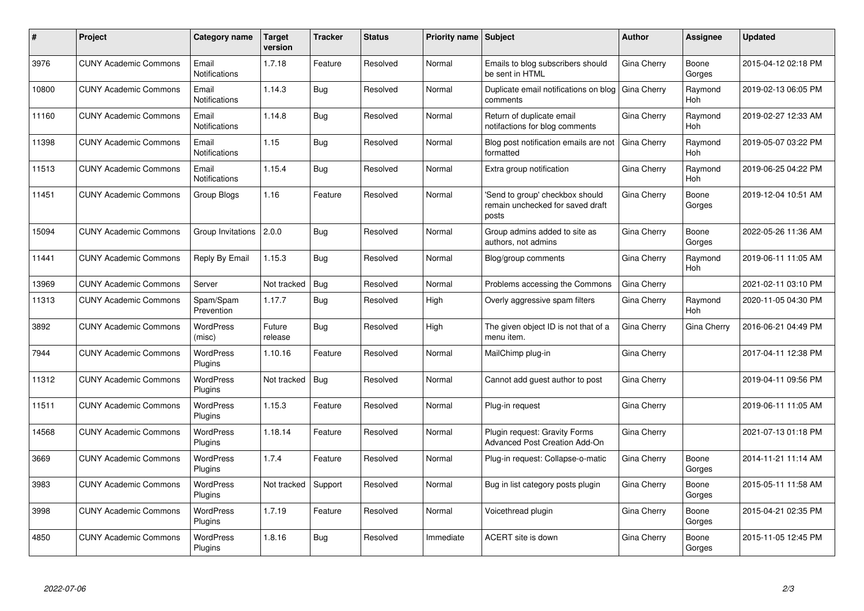| #     | Project                      | <b>Category name</b>          | <b>Target</b><br>version | Tracker    | <b>Status</b> | <b>Priority name</b> | <b>Subject</b>                                                               | <b>Author</b>      | Assignee        | <b>Updated</b>      |
|-------|------------------------------|-------------------------------|--------------------------|------------|---------------|----------------------|------------------------------------------------------------------------------|--------------------|-----------------|---------------------|
| 3976  | <b>CUNY Academic Commons</b> | Email<br><b>Notifications</b> | 1.7.18                   | Feature    | Resolved      | Normal               | Emails to blog subscribers should<br>be sent in HTML                         | Gina Cherry        | Boone<br>Gorges | 2015-04-12 02:18 PM |
| 10800 | <b>CUNY Academic Commons</b> | Email<br><b>Notifications</b> | 1.14.3                   | Bug        | Resolved      | Normal               | Duplicate email notifications on blog<br>comments                            | Gina Cherry        | Raymond<br>Hoh  | 2019-02-13 06:05 PM |
| 11160 | <b>CUNY Academic Commons</b> | Email<br>Notifications        | 1.14.8                   | Bug        | Resolved      | Normal               | Return of duplicate email<br>notifactions for blog comments                  | Gina Cherry        | Raymond<br>Hoh  | 2019-02-27 12:33 AM |
| 11398 | <b>CUNY Academic Commons</b> | Email<br>Notifications        | 1.15                     | Bug        | Resolved      | Normal               | Blog post notification emails are not<br>formatted                           | Gina Cherry        | Raymond<br>Hoh  | 2019-05-07 03:22 PM |
| 11513 | <b>CUNY Academic Commons</b> | Email<br><b>Notifications</b> | 1.15.4                   | <b>Bug</b> | Resolved      | Normal               | Extra group notification                                                     | Gina Cherry        | Raymond<br>Hoh  | 2019-06-25 04:22 PM |
| 11451 | <b>CUNY Academic Commons</b> | Group Blogs                   | 1.16                     | Feature    | Resolved      | Normal               | 'Send to group' checkbox should<br>remain unchecked for saved draft<br>posts | Gina Cherry        | Boone<br>Gorges | 2019-12-04 10:51 AM |
| 15094 | <b>CUNY Academic Commons</b> | Group Invitations             | 2.0.0                    | Bug        | Resolved      | Normal               | Group admins added to site as<br>authors, not admins                         | Gina Cherry        | Boone<br>Gorges | 2022-05-26 11:36 AM |
| 11441 | <b>CUNY Academic Commons</b> | Reply By Email                | 1.15.3                   | <b>Bug</b> | Resolved      | Normal               | Blog/group comments                                                          | <b>Gina Cherry</b> | Raymond<br>Hoh  | 2019-06-11 11:05 AM |
| 13969 | <b>CUNY Academic Commons</b> | Server                        | Not tracked              | Bug        | Resolved      | Normal               | Problems accessing the Commons                                               | Gina Cherry        |                 | 2021-02-11 03:10 PM |
| 11313 | <b>CUNY Academic Commons</b> | Spam/Spam<br>Prevention       | 1.17.7                   | Bug        | Resolved      | High                 | Overly aggressive spam filters                                               | Gina Cherry        | Raymond<br>Hoh  | 2020-11-05 04:30 PM |
| 3892  | <b>CUNY Academic Commons</b> | <b>WordPress</b><br>(misc)    | Future<br>release        | Bug        | Resolved      | High                 | The given object ID is not that of a<br>menu item.                           | Gina Cherry        | Gina Cherry     | 2016-06-21 04:49 PM |
| 7944  | <b>CUNY Academic Commons</b> | <b>WordPress</b><br>Plugins   | 1.10.16                  | Feature    | Resolved      | Normal               | MailChimp plug-in                                                            | Gina Cherry        |                 | 2017-04-11 12:38 PM |
| 11312 | <b>CUNY Academic Commons</b> | <b>WordPress</b><br>Plugins   | Not tracked              | <b>Bug</b> | Resolved      | Normal               | Cannot add guest author to post                                              | Gina Cherry        |                 | 2019-04-11 09:56 PM |
| 11511 | <b>CUNY Academic Commons</b> | <b>WordPress</b><br>Plugins   | 1.15.3                   | Feature    | Resolved      | Normal               | Plug-in request                                                              | Gina Cherry        |                 | 2019-06-11 11:05 AM |
| 14568 | <b>CUNY Academic Commons</b> | <b>WordPress</b><br>Plugins   | 1.18.14                  | Feature    | Resolved      | Normal               | Plugin request: Gravity Forms<br>Advanced Post Creation Add-On               | Gina Cherry        |                 | 2021-07-13 01:18 PM |
| 3669  | <b>CUNY Academic Commons</b> | WordPress<br>Plugins          | 1.7.4                    | Feature    | Resolved      | Normal               | Plug-in request: Collapse-o-matic                                            | Gina Cherry        | Boone<br>Gorges | 2014-11-21 11:14 AM |
| 3983  | <b>CUNY Academic Commons</b> | WordPress<br>Plugins          | Not tracked              | Support    | Resolved      | Normal               | Bug in list category posts plugin                                            | Gina Cherry        | Boone<br>Gorges | 2015-05-11 11:58 AM |
| 3998  | <b>CUNY Academic Commons</b> | WordPress<br>Plugins          | 1.7.19                   | Feature    | Resolved      | Normal               | Voicethread plugin                                                           | Gina Cherry        | Boone<br>Gorges | 2015-04-21 02:35 PM |
| 4850  | <b>CUNY Academic Commons</b> | <b>WordPress</b><br>Plugins   | 1.8.16                   | <b>Bug</b> | Resolved      | Immediate            | ACERT site is down                                                           | Gina Cherry        | Boone<br>Gorges | 2015-11-05 12:45 PM |